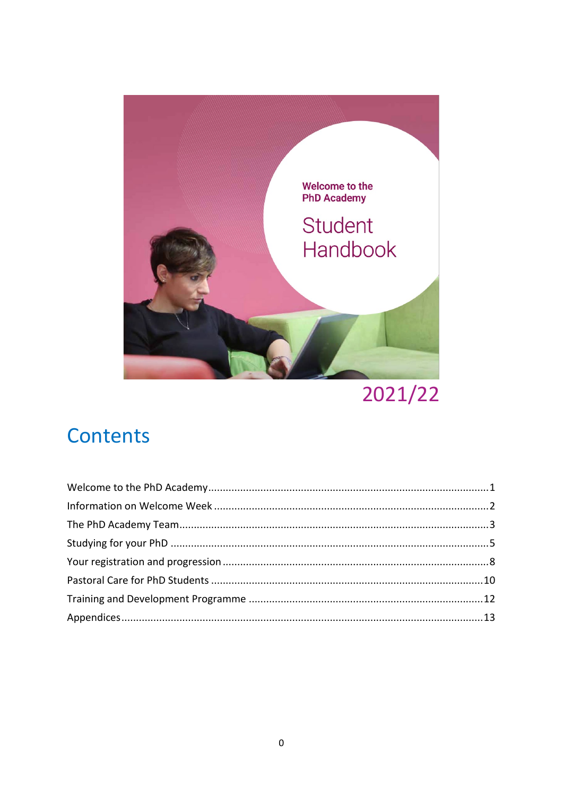

2021/22

## Contents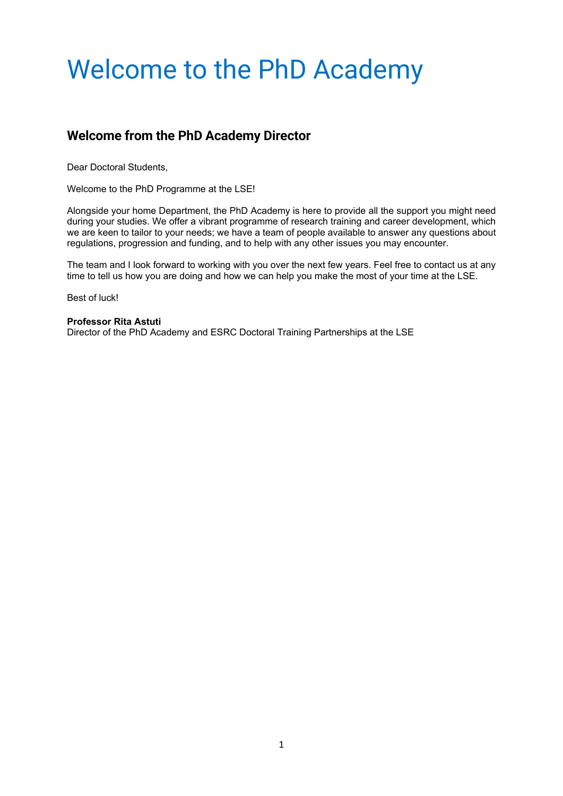## <span id="page-1-0"></span>Welcome to the PhD Academy

### **Welcome from the PhD Academy Director**

Dear Doctoral Students,

Welcome to the PhD Programme at the LSE!

Alongside your home Department, the PhD Academy is here to provide all the support you might need during your studies. We offer a vibrant programme of research training and career development, which we are keen to tailor to your needs; we have a team of people available to answer any questions about regulations, progression and funding, and to help with any other issues you may encounter.

The team and I look forward to working with you over the next few years. Feel free to contact us at any time to tell us how you are doing and how we can help you make the most of your time at the LSE.

Best of luck!

#### **Professor [Rita Astuti](http://www.lse.ac.uk/anthropology/people/rita-astuti)**

Director of the PhD Academy and ESRC Doctoral Training Partnerships at the LSE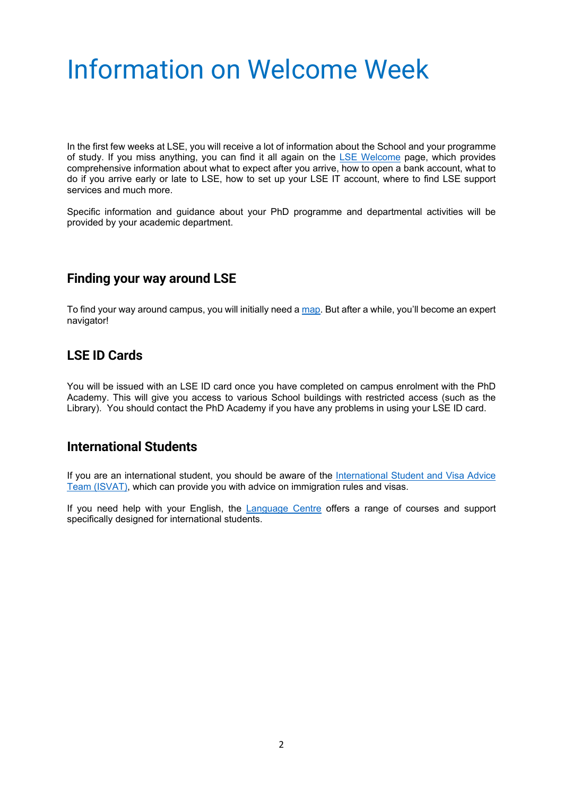## <span id="page-2-0"></span>Information on Welcome Week

In the first few weeks at LSE, you will receive a lot of information about the School and your programme of study. If you miss anything, you can find it all again on the [LSE Welcome](https://welcome.lse.ac.uk/) page, which provides comprehensive information about what to expect after you arrive, how to open a bank account, what to do if you arrive early or late to LSE, how to set up your LSE IT account, where to find LSE support services and much more.

Specific information and guidance about your PhD programme and departmental activities will be provided by your academic department.

#### **Finding your way around LSE**

To find your way around campus, you will initially need a [map.](https://www.lse.ac.uk/lse-information/campus-map) But after a while, you'll become an expert navigator!

#### **LSE ID Cards**

You will be issued with an LSE ID card once you have completed on campus enrolment with the PhD Academy. This will give you access to various School buildings with restricted access (such as the Library). You should contact the PhD Academy if you have any problems in using your LSE ID card.

#### **International Students**

If you are an international student, you should be aware of the [International Student and Visa Advice](https://info.lse.ac.uk/current-students/student-services/international-student-visa-advice-team)  Team [\(ISVAT\),](https://info.lse.ac.uk/current-students/student-services/international-student-visa-advice-team) which can provide you with advice on immigration rules and visas.

If you need help with your English, the [Language Centre](https://www.lse.ac.uk/language-centre) offers a range of courses and support specifically designed for international students.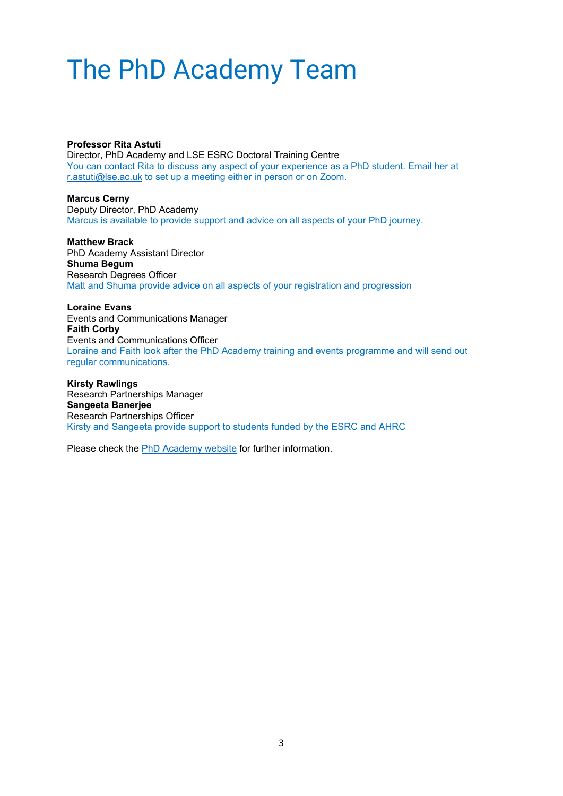## <span id="page-3-0"></span>The PhD Academy Team

**Professor Rita Astuti** 

Director, PhD Academy and LSE ESRC Doctoral Training Centre You can contact Rita to discuss any aspect of your experience as a PhD student. Email her at [r.astuti@lse.ac.uk](mailto:r.astuti@lse.ac.uk) to set up a meeting either in person or on Zoom.

**Marcus Cerny** Deputy Director, PhD Academy Marcus is available to provide support and advice on all aspects of your PhD journey.

**Matthew Brack** PhD Academy Assistant Director **Shuma Begum** Research Degrees Officer Matt and Shuma provide advice on all aspects of your registration and progression

**Loraine Evans** Events and Communications Manager **Faith Corby** Events and Communications Officer Loraine and Faith look after the PhD Academy training and events programme and will send out regular communications.

**Kirsty Rawlings** Research Partnerships Manager **Sangeeta Banerjee** Research Partnerships Officer Kirsty and Sangeeta provide support to students funded by the ESRC and AHRC

Please check the [PhD Academy website](https://info.lse.ac.uk/current-students/phd-academy/our-team) for further information.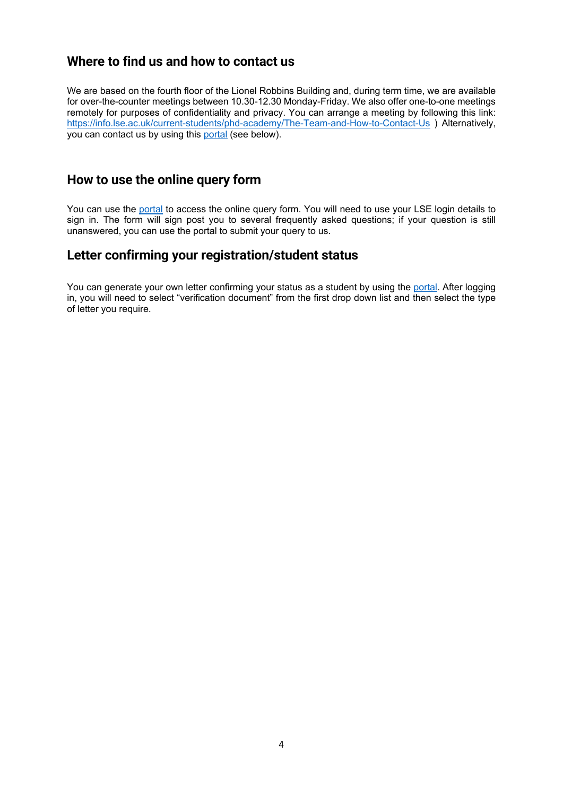#### **Where to find us and how to contact us**

We are based on the fourth floor of the Lionel Robbins Building and, during term time, we are available for over-the-counter meetings between 10.30-12.30 Monday-Friday. We also offer one-to-one meetings remotely for purposes of confidentiality and privacy. You can arrange a meeting by following this link: <https://info.lse.ac.uk/current-students/phd-academy/The-Team-and-How-to-Contact-Us> ) Alternatively, you can contact us by using this [portal](https://lseportal.force.com/studentservices/s/enquiry-form) (see below).

#### **How to use the online query form**

You can use the [portal](https://lseportal.force.com/studentservices/s/enquiry-form) to access the online query form. You will need to use your LSE login details to sign in. The form will sign post you to several frequently asked questions; if your question is still unanswered, you can use the portal to submit your query to us.

#### **Letter confirming your registration/student status**

You can generate your own letter confirming your status as a student by using the [portal.](https://lseportal.force.com/studentservices/s/enquiry-form) After logging in, you will need to select "verification document" from the first drop down list and then select the type of letter you require.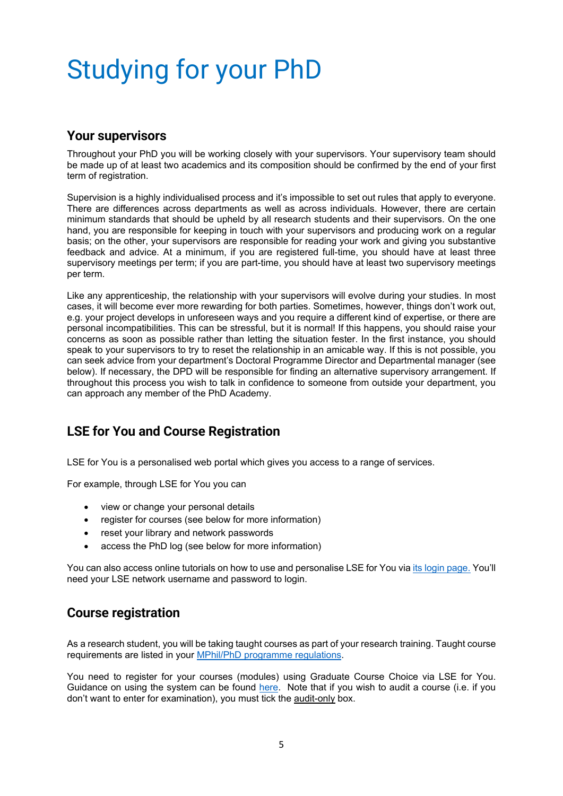# <span id="page-5-0"></span>Studying for your PhD

#### **Your supervisors**

Throughout your PhD you will be working closely with your supervisors. Your supervisory team should be made up of at least two academics and its composition should be confirmed by the end of your first term of registration.

Supervision is a highly individualised process and it's impossible to set out rules that apply to everyone. There are differences across departments as well as across individuals. However, there are certain minimum standards that should be upheld by all research students and their supervisors. On the one hand, you are responsible for keeping in touch with your supervisors and producing work on a regular basis; on the other, your supervisors are responsible for reading your work and giving you substantive feedback and advice. At a minimum, if you are registered full-time, you should have at least three supervisory meetings per term; if you are part-time, you should have at least two supervisory meetings per term.

Like any apprenticeship, the relationship with your supervisors will evolve during your studies. In most cases, it will become ever more rewarding for both parties. Sometimes, however, things don't work out, e.g. your project develops in unforeseen ways and you require a different kind of expertise, or there are personal incompatibilities. This can be stressful, but it is normal! If this happens, you should raise your concerns as soon as possible rather than letting the situation fester. In the first instance, you should speak to your supervisors to try to reset the relationship in an amicable way. If this is not possible, you can seek advice from your department's Doctoral Programme Director and Departmental manager (see below). If necessary, the DPD will be responsible for finding an alternative supervisory arrangement. If throughout this process you wish to talk in confidence to someone from outside your department, you can approach any member of the PhD Academy.

### **LSE for You and Course Registration**

LSE for You is a personalised web portal which gives you access to a range of services.

For example, through LSE for You you can

- view or change your personal details
- register for courses (see below for more information)
- reset your library and network passwords
- access the PhD log (see below for more information)

You can also access online tutorials on how to use and personalise LSE for You vi[a its login page.](https://auth.lse.ac.uk/auth/login?service=https%3A%2F%2Flfy.lse.ac.uk%2Fportal%2Fp%2F&renew=true) You'll need your LSE network username and password to login.

### **Course registration**

As a research student, you will be taking taught courses as part of your research training. Taught course requirements are listed in your [MPhil/PhD programme regulations.](http://www.lse.ac.uk/resources/calendar/programmeRegulations/research/Default.htm)

You need to register for your courses (modules) using Graduate Course Choice via LSE for You. Guidance on using the system can be found [here.](https://info.lse.ac.uk/current-students/services/course-choice?from_serp=1) Note that if you wish to audit a course (i.e. if you don't want to enter for examination), you must tick the audit-only box.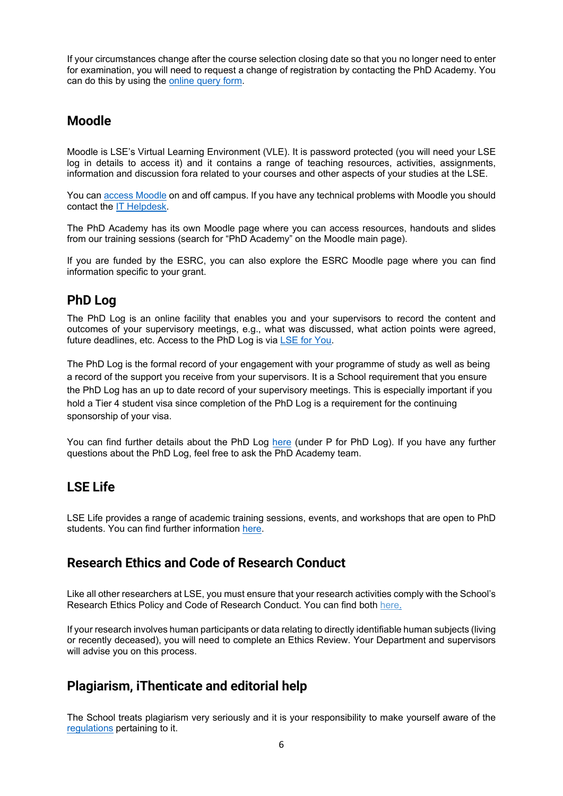If your circumstances change after the course selection closing date so that you no longer need to enter for examination, you will need to request a change of registration by contacting the PhD Academy. You can do this by using th[e online query form.](https://lseportal.force.com/studentservices/s/enquiry-form)

### **Moodle**

Moodle is LSE's Virtual Learning Environment (VLE). It is password protected (you will need your LSE log in details to access it) and it contains a range of teaching resources, activities, assignments, information and discussion fora related to your courses and other aspects of your studies at the LSE.

You can [access Moodle](http://moodle.lse.ac.uk/) on and off campus. If you have any technical problems with Moodle you should contact the [IT Helpdesk.](https://info.lse.ac.uk/staff/divisions/dts)

The PhD Academy has its own Moodle page where you can access resources, handouts and slides from our training sessions (search for "PhD Academy" on the Moodle main page).

If you are funded by the ESRC, you can also explore the ESRC Moodle page where you can find information specific to your grant.

### **PhD Log**

The PhD Log is an online facility that enables you and your supervisors to record the content and outcomes of your supervisory meetings, e.g., what was discussed, what action points were agreed, future deadlines, etc. Access to the PhD Log is via [LSE for You.](https://lfy.lse.ac.uk/portal/p/)

The PhD Log is the formal record of your engagement with your programme of study as well as being a record of the support you receive from your supervisors. It is a School requirement that you ensure the PhD Log has an up to date record of your supervisory meetings. This is especially important if you hold a Tier 4 student visa since completion of the PhD Log is a requirement for the continuing sponsorship of your visa.

You can find further details about the PhD Log [here](https://info.lse.ac.uk/current-students/phd-academy/phd-journey/a-z-guidance) (under P for PhD Log). If you have any further questions about the PhD Log, feel free to ask the PhD Academy team.

### **LSE Life**

LSE Life provides a range of academic training sessions, events, and workshops that are open to PhD students. You can find further information [here.](https://info.lse.ac.uk/current-students/lse-life)

### **Research Ethics and Code of Research Conduct**

Like all other researchers at LSE, you must ensure that your research activities comply with the School's Research Ethics Policy and Code of Research Conduct. You can find both [here.](https://info.lse.ac.uk/staff/divisions/research-division/research-policy/research-ethics)

If your research involves human participants or data relating to directly identifiable human subjects (living or recently deceased), you will need to complete an Ethics Review. Your Department and supervisors will advise you on this process.

### **Plagiarism, iThenticate and editorial help**

The School treats plagiarism very seriously and it is your responsibility to make yourself aware of the [regulations](http://www.lse.ac.uk/resources/calendar/research.htm) pertaining to it.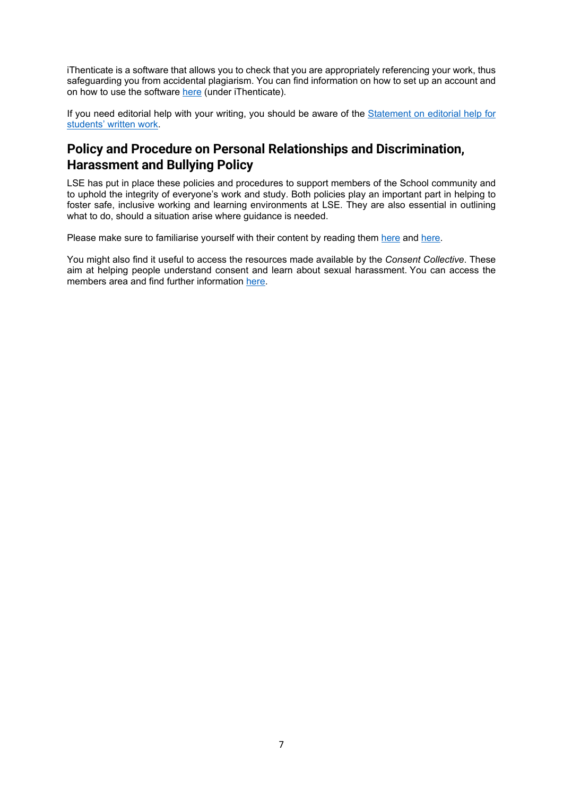iThenticate is a software that allows you to check that you are appropriately referencing your work, thus safeguarding you from accidental plagiarism. You can find information on how to set up an account and on how to use the software [here](https://info.lse.ac.uk/current-students/phd-academy/phd-journey) (under iThenticate).

If you need editorial help with your writing, you should be aware of the [Statement on editorial help](https://info.lse.ac.uk/Staff/Divisions/Academic-Registrars-Division/Teaching-Quality-Assurance-and-Review-Office/Assets/Documents/Calendar/StatementOnEditorialHelp.pdf) for [students' written work.](https://info.lse.ac.uk/Staff/Divisions/Academic-Registrars-Division/Teaching-Quality-Assurance-and-Review-Office/Assets/Documents/Calendar/StatementOnEditorialHelp.pdf)

### **Policy and Procedure on Personal Relationships and Discrimination, Harassment and Bullying Policy**

LSE has put in place these policies and procedures to support members of the School community and to uphold the integrity of everyone's work and study. Both policies play an important part in helping to foster safe, inclusive working and learning environments at LSE. They are also essential in outlining what to do, should a situation arise where quidance is needed.

Please make sure to familiarise yourself with their content by reading them [here](https://info.lse.ac.uk/staff/services/Policies-and-procedures/Assets/Documents/perRelPolAndPro.pdf) and [here.](https://info.lse.ac.uk/staff/services/Policies-and-procedures/Assets/Documents/harPol.pdf)

You might also find it useful to access the resources made available by the *Consent Collective*. These aim at helping people understand consent and learn about sexual harassment. You can access the members area and find further information [here.](https://info.lse.ac.uk/Making-a-choice/courses-and-workshops)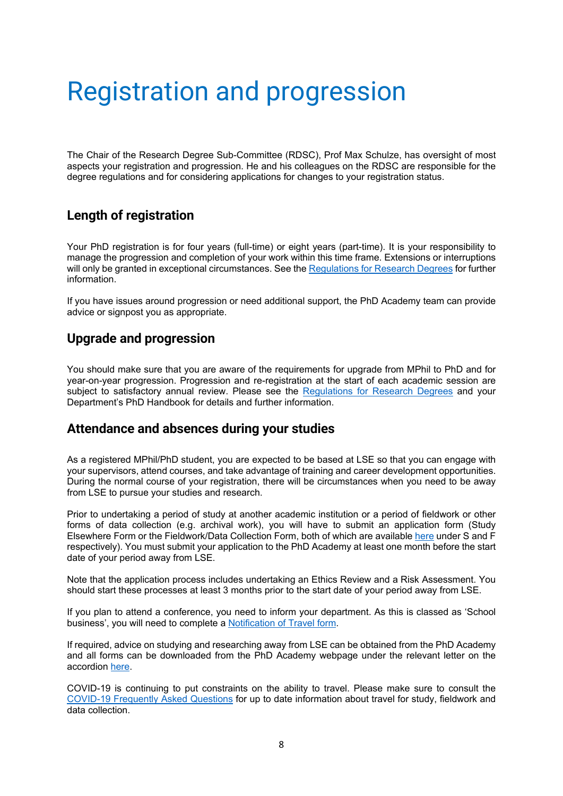## <span id="page-8-0"></span>Registration and progression

The Chair of the Research Degree Sub-Committee (RDSC), Prof Max Schulze, has oversight of most aspects your registration and progression. He and his colleagues on the RDSC are responsible for the degree regulations and for considering applications for changes to your registration status.

### **Length of registration**

Your PhD registration is for four years (full-time) or eight years (part-time). It is your responsibility to manage the progression and completion of your work within this time frame. Extensions or interruptions will only be granted in exceptional circumstances. See th[e Regulations for Research Degrees](https://info.lse.ac.uk/Staff/Divisions/Academic-Registrars-Division/Teaching-Quality-Assurance-and-Review-Office/Assets/Documents/Calendar/RegulationsForResearchDegrees.pdf) for further information.

If you have issues around progression or need additional support, the PhD Academy team can provide advice or signpost you as appropriate.

#### **Upgrade and progression**

You should make sure that you are aware of the requirements for upgrade from MPhil to PhD and for year-on-year progression. Progression and re-registration at the start of each academic session are subject to satisfactory annual review. Please see the [Regulations for Research Degrees](https://info.lse.ac.uk/Staff/Divisions/Academic-Registrars-Division/Teaching-Quality-Assurance-and-Review-Office/Assets/Documents/Calendar/RegulationsForResearchDegrees.pdf) and your Department's PhD Handbook for details and further information.

#### **Attendance and absences during your studies**

As a registered MPhil/PhD student, you are expected to be based at LSE so that you can engage with your supervisors, attend courses, and take advantage of training and career development opportunities. During the normal course of your registration, there will be circumstances when you need to be away from LSE to pursue your studies and research.

Prior to undertaking a period of study at another academic institution or a period of fieldwork or other forms of data collection (e.g. archival work), you will have to submit an application form (Study Elsewhere Form or the Fieldwork/Data Collection Form, both of which are available [here](https://info.lse.ac.uk/current-students/phd-academy/phd-journey/a-z-guidance) under S and F respectively). You must submit your application to the PhD Academy at least one month before the start date of your period away from LSE.

Note that the application process includes undertaking an Ethics Review and a Risk Assessment. You should start these processes at least 3 months prior to the start date of your period away from LSE.

If you plan to attend a conference, you need to inform your department. As this is classed as 'School business', you will need to complete a [Notification of Travel form.](https://lseapps.secure.force.com/form?formid=217808)

If required, advice on studying and researching away from LSE can be obtained from the PhD Academy and all forms can be downloaded from the PhD Academy webpage under the relevant letter on the accordion [here.](https://info.lse.ac.uk/current-students/phd-academy/phd-journey/a-z-guidance)

COVID-19 is continuing to put constraints on the ability to travel. Please make sure to consult the [COVID-19 Frequently Asked Questions](https://info.lse.ac.uk/current-students/phd-academy/phd-journey/Covid-19-FAQs) for up to date information about travel for study, fieldwork and data collection.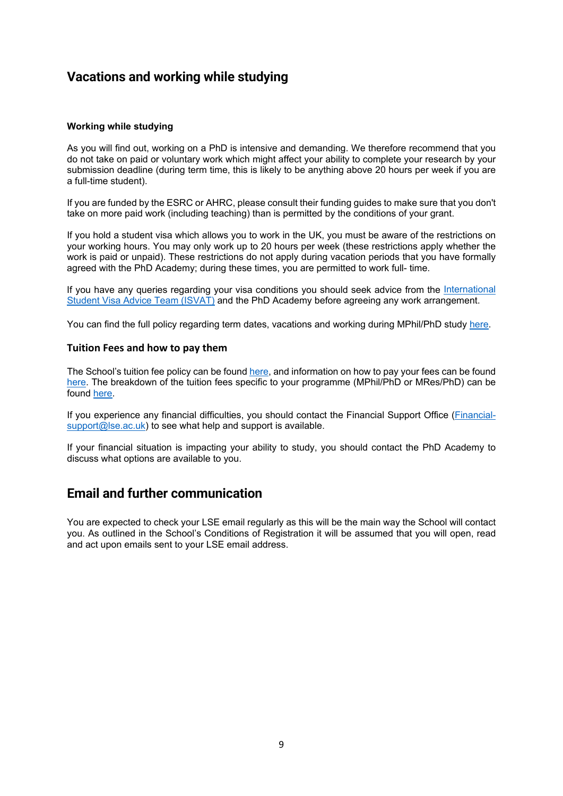#### **Vacations and working while studying**

#### **Working while studying**

As you will find out, working on a PhD is intensive and demanding. We therefore recommend that you do not take on paid or voluntary work which might affect your ability to complete your research by your submission deadline (during term time, this is likely to be anything above 20 hours per week if you are a full-time student).

If you are funded by the ESRC or AHRC, please consult their funding guides to make sure that you don't take on more paid work (including teaching) than is permitted by the conditions of your grant.

If you hold a student visa which allows you to work in the UK, you must be aware of the restrictions on your working hours. You may only work up to 20 hours per week (these restrictions apply whether the work is paid or unpaid). These restrictions do not apply during vacation periods that you have formally agreed with the PhD Academy; during these times, you are permitted to work full- time.

If you have any queries regarding your visa conditions you should seek advice from the [International](https://info.lse.ac.uk/current-students/student-services/international-student-visa-advice-team)  [Student Visa Advice Team \(ISVAT\)](https://info.lse.ac.uk/current-students/student-services/international-student-visa-advice-team) and the PhD Academy before agreeing any work arrangement.

You can find the full policy regarding term dates, vacations and working during MPhil/PhD study [here.](https://info.lse.ac.uk/current-students/phd-academy/assets/documents/Statement-on-term-dates-and-vacations-for-MPhil-and-PhD-Study.pdf)

#### **Tuition Fees and how to pay them**

The School's tuition fee policy can be found [here,](https://info.lse.ac.uk/staff/divisions/Finance-Division/Fees-Income-and-Credit-Control/Debt-and-Credit-Management) and information on how to pay your fees can be found [here.](https://info.lse.ac.uk/staff/divisions/Finance-Division/Fees-Income-and-Credit-Control/Make-a-payment) The breakdown of the tuition fees specific to your programme (MPhil/PhD or MRes/PhD) can be found [here.](https://info.lse.ac.uk/staff/divisions/Planning-Division/Assets/Documents/2020-Table-of-Fees-25Jun20.pdf)

If you experience any financial difficulties, you should contact the [Financial Support Office](https://info.lse.ac.uk/current-students/financial-support) [\(Financial](mailto:Financial-support@lse.ac.uk) $support@$ lse.ac.uk) to see what help and support is available.

If your financial situation is impacting your ability to study, you should contact the PhD Academy to discuss what options are available to you.

#### **Email and further communication**

You are expected to check your LSE email regularly as this will be the main way the School will contact you. As outlined in the School's Conditions of Registration it will be assumed that you will open, read and act upon emails sent to your LSE email address.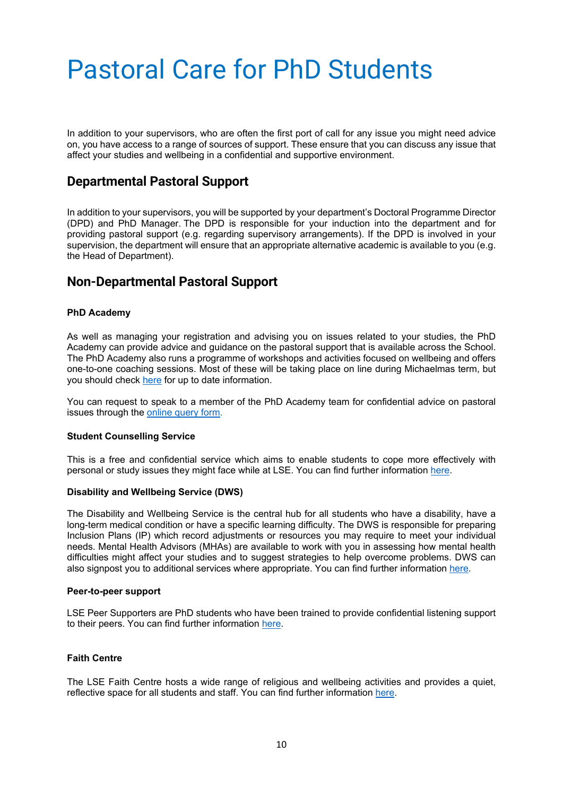## <span id="page-10-0"></span>Pastoral Care for PhD Students

In addition to your supervisors, who are often the first port of call for any issue you might need advice on, you have access to a range of sources of support. These ensure that you can discuss any issue that affect your studies and wellbeing in a confidential and supportive environment.

#### **Departmental Pastoral Support**

In addition to your supervisors, you will be supported by your department's Doctoral Programme Director (DPD) and PhD Manager. The DPD is responsible for your induction into the department and for providing pastoral support (e.g. regarding supervisory arrangements). If the DPD is involved in your supervision, the department will ensure that an appropriate alternative academic is available to you (e.g. the Head of Department).

#### **Non-Departmental Pastoral Support**

#### **PhD Academy**

As well as managing your registration and advising you on issues related to your studies, the PhD Academy can provide advice and guidance on the pastoral support that is available across the School. The PhD Academy also runs a programme of workshops and activities focused on wellbeing and offers one-to-one coaching sessions. Most of these will be taking place on line during Michaelmas term, but you should check [here](https://info.lse.ac.uk/current-students/phd-academy/events-courses-and-training) for up to date information.

You can request to speak to a member of the PhD Academy team for confidential advice on pastoral issues through the [online query form.](https://lseportal.force.com/studentservices/s/enquiry-form)

#### **Student Counselling Service**

This is a free and confidential service which aims to enable students to cope more effectively with personal or study issues they might face while at LSE. You can find further information [here.](https://info.lse.ac.uk/current-students/student-services/student-counselling-service)

#### **Disability and Wellbeing Service (DWS)**

The Disability and Wellbeing Service is the central hub for all students who have a disability, have a long-term medical condition or have a specific learning difficulty. The DWS is responsible for preparing Inclusion Plans (IP) which record adjustments or resources you may require to meet your individual needs. Mental Health Advisors (MHAs) are available to work with you in assessing how mental health difficulties might affect your studies and to suggest strategies to help overcome problems. DWS can also signpost you to additional services where appropriate. You can find further information [here.](https://info.lse.ac.uk/current-students/student-wellbeing/disability-wellbeing/disability-and-wellbeing-service)

#### **Peer-to-peer support**

LSE Peer Supporters are PhD students who have been trained to provide confidential listening support to their peers. You can find further information [here.](https://info.lse.ac.uk/current-students/student-wellbeing/students-supporting-students/peer-support-scheme)

#### **Faith Centre**

The LSE Faith Centre hosts a wide range of religious and wellbeing activities and provides a quiet, reflective space for all students and staff. You can find further information [here.](https://info.lse.ac.uk/current-students/Faith-Centre)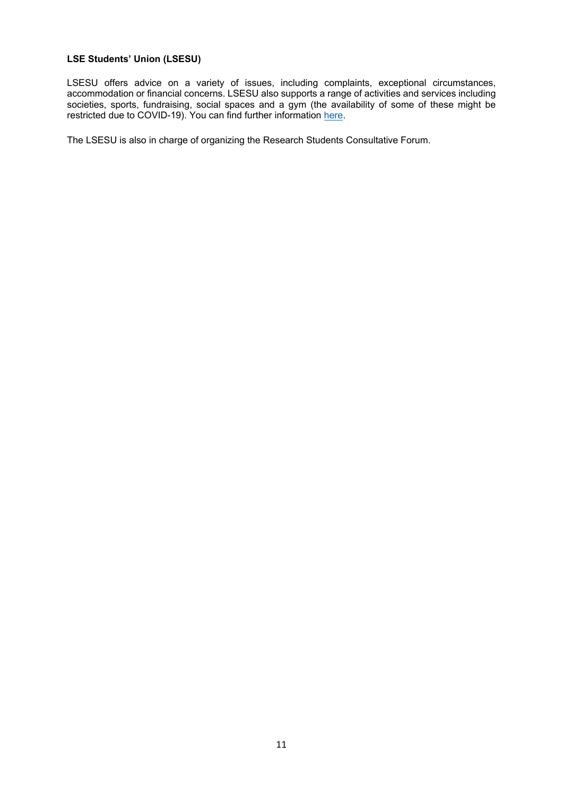#### **LSE Students' Union (LSESU)**

LSESU offers advice on a variety of issues, including complaints, exceptional circumstances, accommodation or financial concerns. LSESU also supports a range of activities and services including societies, sports, fundraising, social spaces and a gym (the availability of some of these might be restricted due to COVID-19). You can find further information [here.](https://www.lsesu.com/)

The LSESU is also in charge of organizing the Research Students Consultative Forum.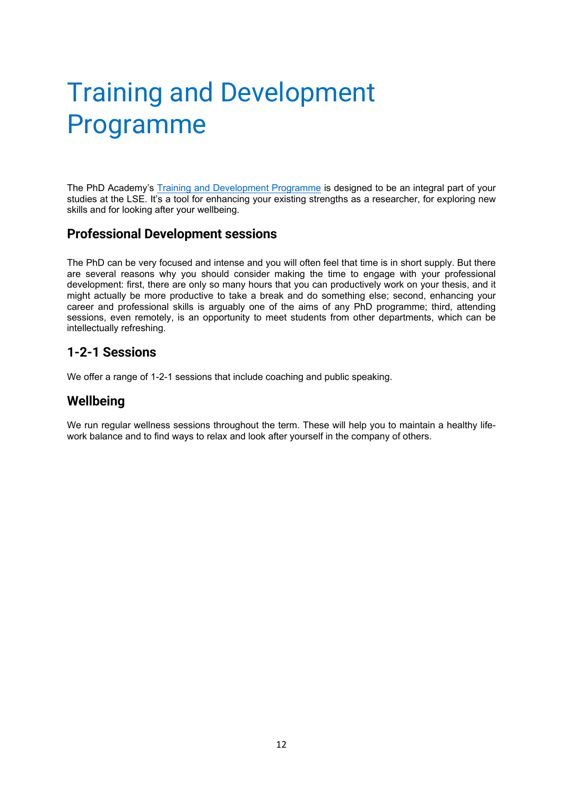## <span id="page-12-0"></span>Training and Development Programme

The PhD Academy's [Training and Development Programme](https://info.lse.ac.uk/current-students/phd-academy/events-courses-and-training) is designed to be an integral part of your studies at the LSE. It's a tool for enhancing your existing strengths as a researcher, for exploring new skills and for looking after your wellbeing.

#### **Professional Development sessions**

The PhD can be very focused and intense and you will often feel that time is in short supply. But there are several reasons why you should consider making the time to engage with your professional development: first, there are only so many hours that you can productively work on your thesis, and it might actually be more productive to take a break and do something else; second, enhancing your career and professional skills is arguably one of the aims of any PhD programme; third, attending sessions, even remotely, is an opportunity to meet students from other departments, which can be intellectually refreshing.

#### **1-2-1 Sessions**

We offer a range of 1-2-1 sessions that include coaching and public speaking.

#### **Wellbeing**

We run regular wellness sessions throughout the term. These will help you to maintain a healthy lifework balance and to find ways to relax and look after yourself in the company of others.